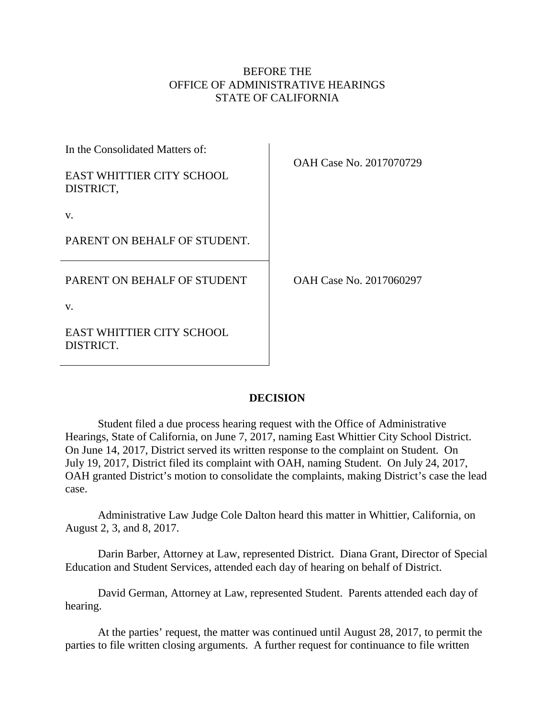## BEFORE THE OFFICE OF ADMINISTRATIVE HEARINGS STATE OF CALIFORNIA

| In the Consolidated Matters of:               | OAH Case No. 2017070729 |
|-----------------------------------------------|-------------------------|
| <b>EAST WHITTIER CITY SCHOOL</b><br>DISTRICT, |                         |
| V.                                            |                         |
| PARENT ON BEHALF OF STUDENT.                  |                         |
| PARENT ON BEHALF OF STUDENT                   | OAH Case No. 2017060297 |
| V.                                            |                         |
| <b>EAST WHITTIER CITY SCHOOL</b><br>DISTRICT  |                         |

## **DECISION**

Student filed a due process hearing request with the Office of Administrative Hearings, State of California, on June 7, 2017, naming East Whittier City School District. On June 14, 2017, District served its written response to the complaint on Student. On July 19, 2017, District filed its complaint with OAH, naming Student. On July 24, 2017, OAH granted District's motion to consolidate the complaints, making District's case the lead case.

Administrative Law Judge Cole Dalton heard this matter in Whittier, California, on August 2, 3, and 8, 2017.

Darin Barber, Attorney at Law, represented District. Diana Grant, Director of Special Education and Student Services, attended each day of hearing on behalf of District.

David German, Attorney at Law, represented Student. Parents attended each day of hearing.

At the parties' request, the matter was continued until August 28, 2017, to permit the parties to file written closing arguments. A further request for continuance to file written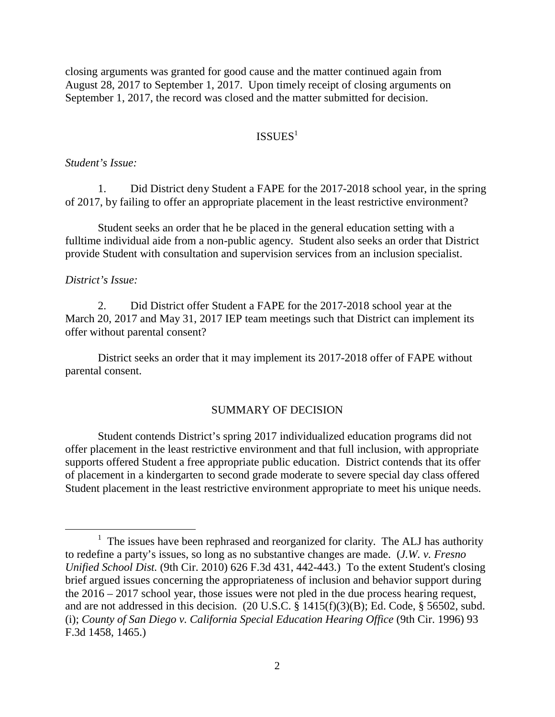closing arguments was granted for good cause and the matter continued again from August 28, 2017 to September 1, 2017. Upon timely receipt of closing arguments on September 1, 2017, the record was closed and the matter submitted for decision.

## $ISSUES<sup>1</sup>$

#### *Student's Issue:*

1. Did District deny Student a FAPE for the 2017-2018 school year, in the spring of 2017, by failing to offer an appropriate placement in the least restrictive environment?

Student seeks an order that he be placed in the general education setting with a fulltime individual aide from a non-public agency. Student also seeks an order that District provide Student with consultation and supervision services from an inclusion specialist.

#### *District's Issue:*

2. Did District offer Student a FAPE for the 2017-2018 school year at the March 20, 2017 and May 31, 2017 IEP team meetings such that District can implement its offer without parental consent?

District seeks an order that it may implement its 2017-2018 offer of FAPE without parental consent.

#### SUMMARY OF DECISION

Student contends District's spring 2017 individualized education programs did not offer placement in the least restrictive environment and that full inclusion, with appropriate supports offered Student a free appropriate public education. District contends that its offer of placement in a kindergarten to second grade moderate to severe special day class offered Student placement in the least restrictive environment appropriate to meet his unique needs.

 $1$  The issues have been rephrased and reorganized for clarity. The ALJ has authority to redefine a party's issues, so long as no substantive changes are made. (*J.W. v. Fresno Unified School Dist.* (9th Cir. 2010) 626 F.3d 431, 442-443.) To the extent Student's closing brief argued issues concerning the appropriateness of inclusion and behavior support during the 2016 – 2017 school year, those issues were not pled in the due process hearing request, and are not addressed in this decision. (20 U.S.C. § 1415(f)(3)(B); Ed. Code, § 56502, subd. (i); *County of San Diego v. California Special Education Hearing Office* (9th Cir. 1996) 93 F.3d 1458, 1465.)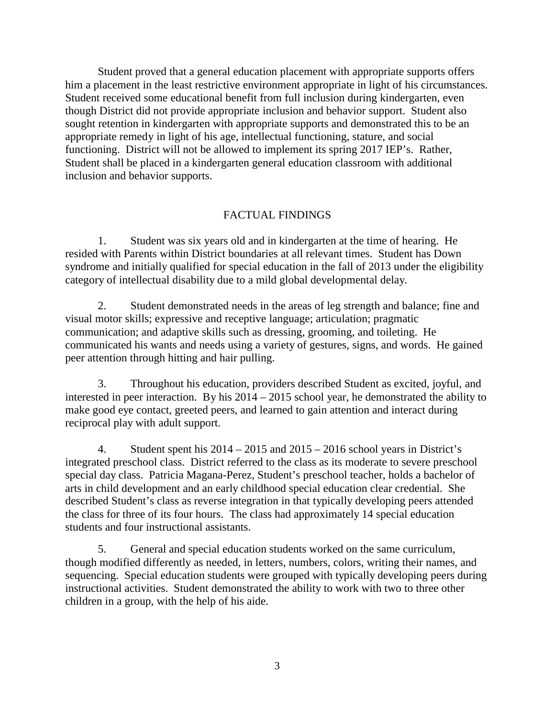Student proved that a general education placement with appropriate supports offers him a placement in the least restrictive environment appropriate in light of his circumstances. Student received some educational benefit from full inclusion during kindergarten, even though District did not provide appropriate inclusion and behavior support. Student also sought retention in kindergarten with appropriate supports and demonstrated this to be an appropriate remedy in light of his age, intellectual functioning, stature, and social functioning. District will not be allowed to implement its spring 2017 IEP's. Rather, Student shall be placed in a kindergarten general education classroom with additional inclusion and behavior supports.

### FACTUAL FINDINGS

1. Student was six years old and in kindergarten at the time of hearing. He resided with Parents within District boundaries at all relevant times. Student has Down syndrome and initially qualified for special education in the fall of 2013 under the eligibility category of intellectual disability due to a mild global developmental delay.

2. Student demonstrated needs in the areas of leg strength and balance; fine and visual motor skills; expressive and receptive language; articulation; pragmatic communication; and adaptive skills such as dressing, grooming, and toileting. He communicated his wants and needs using a variety of gestures, signs, and words. He gained peer attention through hitting and hair pulling.

3. Throughout his education, providers described Student as excited, joyful, and interested in peer interaction. By his 2014 – 2015 school year, he demonstrated the ability to make good eye contact, greeted peers, and learned to gain attention and interact during reciprocal play with adult support.

4. Student spent his 2014 – 2015 and 2015 – 2016 school years in District's integrated preschool class. District referred to the class as its moderate to severe preschool special day class. Patricia Magana-Perez, Student's preschool teacher, holds a bachelor of arts in child development and an early childhood special education clear credential. She described Student's class as reverse integration in that typically developing peers attended the class for three of its four hours. The class had approximately 14 special education students and four instructional assistants.

5. General and special education students worked on the same curriculum, though modified differently as needed, in letters, numbers, colors, writing their names, and sequencing. Special education students were grouped with typically developing peers during instructional activities. Student demonstrated the ability to work with two to three other children in a group, with the help of his aide.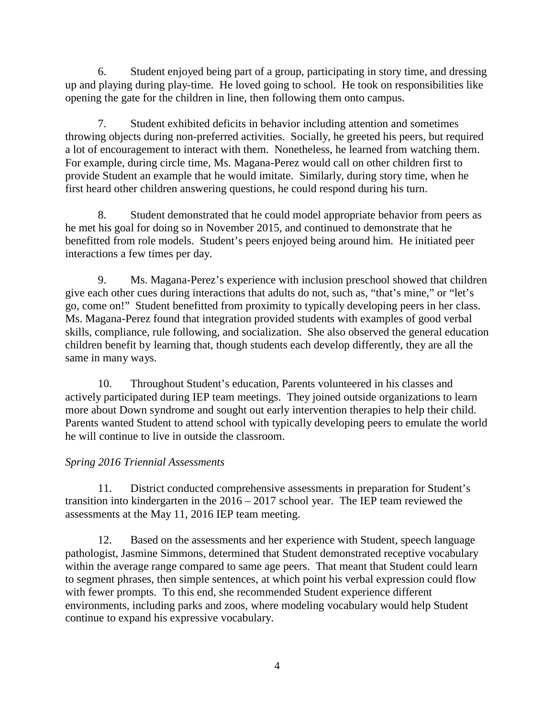6. Student enjoyed being part of a group, participating in story time, and dressing up and playing during play-time. He loved going to school. He took on responsibilities like opening the gate for the children in line, then following them onto campus.

7. Student exhibited deficits in behavior including attention and sometimes throwing objects during non-preferred activities. Socially, he greeted his peers, but required a lot of encouragement to interact with them. Nonetheless, he learned from watching them. For example, during circle time, Ms. Magana-Perez would call on other children first to provide Student an example that he would imitate. Similarly, during story time, when he first heard other children answering questions, he could respond during his turn.

8. Student demonstrated that he could model appropriate behavior from peers as he met his goal for doing so in November 2015, and continued to demonstrate that he benefitted from role models. Student's peers enjoyed being around him. He initiated peer interactions a few times per day.

9. Ms. Magana-Perez's experience with inclusion preschool showed that children give each other cues during interactions that adults do not, such as, "that's mine," or "let's go, come on!" Student benefitted from proximity to typically developing peers in her class. Ms. Magana-Perez found that integration provided students with examples of good verbal skills, compliance, rule following, and socialization. She also observed the general education children benefit by learning that, though students each develop differently, they are all the same in many ways.

10. Throughout Student's education, Parents volunteered in his classes and actively participated during IEP team meetings. They joined outside organizations to learn more about Down syndrome and sought out early intervention therapies to help their child. Parents wanted Student to attend school with typically developing peers to emulate the world he will continue to live in outside the classroom.

# *Spring 2016 Triennial Assessments*

11. District conducted comprehensive assessments in preparation for Student's transition into kindergarten in the 2016 – 2017 school year. The IEP team reviewed the assessments at the May 11, 2016 IEP team meeting.

12. Based on the assessments and her experience with Student, speech language pathologist, Jasmine Simmons, determined that Student demonstrated receptive vocabulary within the average range compared to same age peers. That meant that Student could learn to segment phrases, then simple sentences, at which point his verbal expression could flow with fewer prompts. To this end, she recommended Student experience different environments, including parks and zoos, where modeling vocabulary would help Student continue to expand his expressive vocabulary.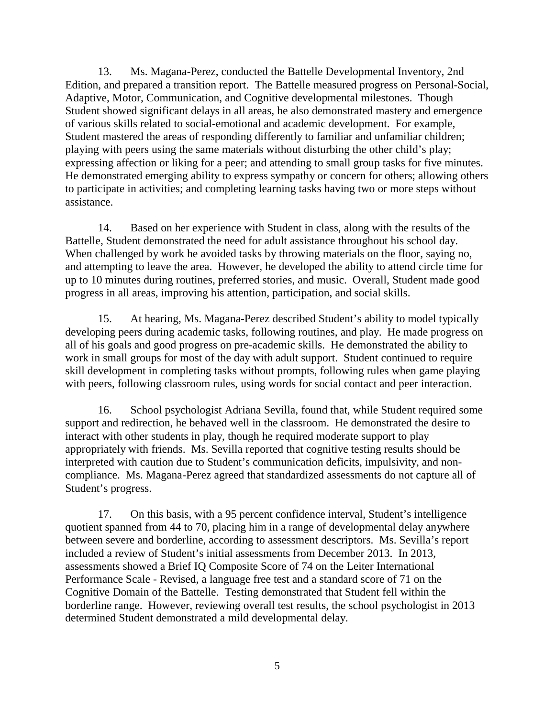13. Ms. Magana-Perez, conducted the Battelle Developmental Inventory, 2nd Edition, and prepared a transition report. The Battelle measured progress on Personal-Social, Adaptive, Motor, Communication, and Cognitive developmental milestones. Though Student showed significant delays in all areas, he also demonstrated mastery and emergence of various skills related to social-emotional and academic development. For example, Student mastered the areas of responding differently to familiar and unfamiliar children; playing with peers using the same materials without disturbing the other child's play; expressing affection or liking for a peer; and attending to small group tasks for five minutes. He demonstrated emerging ability to express sympathy or concern for others; allowing others to participate in activities; and completing learning tasks having two or more steps without assistance.

14. Based on her experience with Student in class, along with the results of the Battelle, Student demonstrated the need for adult assistance throughout his school day. When challenged by work he avoided tasks by throwing materials on the floor, saying no, and attempting to leave the area. However, he developed the ability to attend circle time for up to 10 minutes during routines, preferred stories, and music. Overall, Student made good progress in all areas, improving his attention, participation, and social skills.

15. At hearing, Ms. Magana-Perez described Student's ability to model typically developing peers during academic tasks, following routines, and play. He made progress on all of his goals and good progress on pre-academic skills. He demonstrated the ability to work in small groups for most of the day with adult support. Student continued to require skill development in completing tasks without prompts, following rules when game playing with peers, following classroom rules, using words for social contact and peer interaction.

16. School psychologist Adriana Sevilla, found that, while Student required some support and redirection, he behaved well in the classroom. He demonstrated the desire to interact with other students in play, though he required moderate support to play appropriately with friends. Ms. Sevilla reported that cognitive testing results should be interpreted with caution due to Student's communication deficits, impulsivity, and noncompliance. Ms. Magana-Perez agreed that standardized assessments do not capture all of Student's progress.

17. On this basis, with a 95 percent confidence interval, Student's intelligence quotient spanned from 44 to 70, placing him in a range of developmental delay anywhere between severe and borderline, according to assessment descriptors. Ms. Sevilla's report included a review of Student's initial assessments from December 2013. In 2013, assessments showed a Brief IQ Composite Score of 74 on the Leiter International Performance Scale - Revised, a language free test and a standard score of 71 on the Cognitive Domain of the Battelle. Testing demonstrated that Student fell within the borderline range. However, reviewing overall test results, the school psychologist in 2013 determined Student demonstrated a mild developmental delay.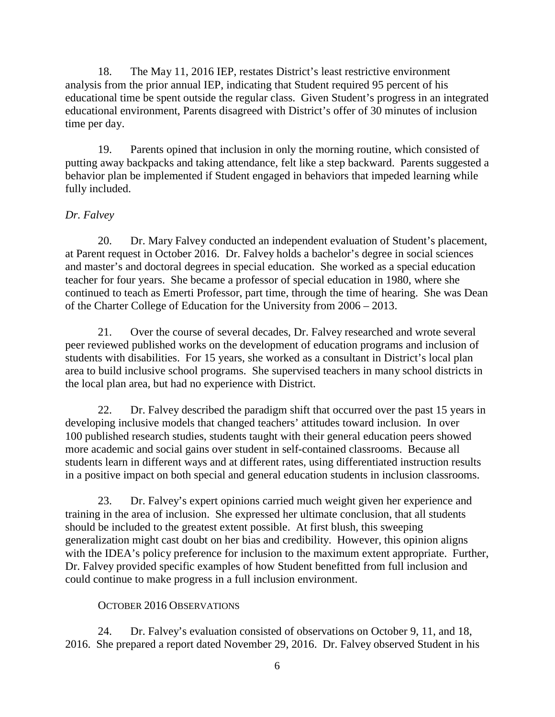18. The May 11, 2016 IEP, restates District's least restrictive environment analysis from the prior annual IEP, indicating that Student required 95 percent of his educational time be spent outside the regular class. Given Student's progress in an integrated educational environment, Parents disagreed with District's offer of 30 minutes of inclusion time per day.

19. Parents opined that inclusion in only the morning routine, which consisted of putting away backpacks and taking attendance, felt like a step backward. Parents suggested a behavior plan be implemented if Student engaged in behaviors that impeded learning while fully included.

# *Dr. Falvey*

20. Dr. Mary Falvey conducted an independent evaluation of Student's placement, at Parent request in October 2016. Dr. Falvey holds a bachelor's degree in social sciences and master's and doctoral degrees in special education. She worked as a special education teacher for four years. She became a professor of special education in 1980, where she continued to teach as Emerti Professor, part time, through the time of hearing. She was Dean of the Charter College of Education for the University from 2006 – 2013.

21. Over the course of several decades, Dr. Falvey researched and wrote several peer reviewed published works on the development of education programs and inclusion of students with disabilities. For 15 years, she worked as a consultant in District's local plan area to build inclusive school programs. She supervised teachers in many school districts in the local plan area, but had no experience with District.

22. Dr. Falvey described the paradigm shift that occurred over the past 15 years in developing inclusive models that changed teachers' attitudes toward inclusion. In over 100 published research studies, students taught with their general education peers showed more academic and social gains over student in self-contained classrooms. Because all students learn in different ways and at different rates, using differentiated instruction results in a positive impact on both special and general education students in inclusion classrooms.

23. Dr. Falvey's expert opinions carried much weight given her experience and training in the area of inclusion. She expressed her ultimate conclusion, that all students should be included to the greatest extent possible. At first blush, this sweeping generalization might cast doubt on her bias and credibility. However, this opinion aligns with the IDEA's policy preference for inclusion to the maximum extent appropriate. Further, Dr. Falvey provided specific examples of how Student benefitted from full inclusion and could continue to make progress in a full inclusion environment.

# OCTOBER 2016 OBSERVATIONS

24. Dr. Falvey's evaluation consisted of observations on October 9, 11, and 18, 2016. She prepared a report dated November 29, 2016. Dr. Falvey observed Student in his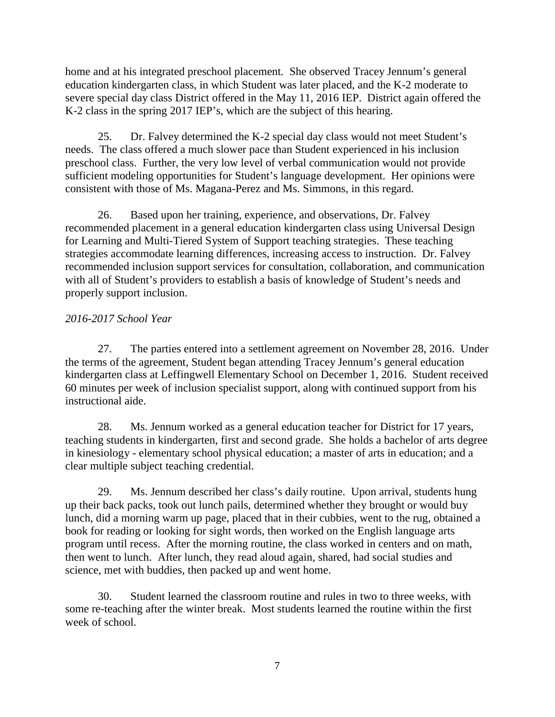home and at his integrated preschool placement. She observed Tracey Jennum's general education kindergarten class, in which Student was later placed, and the K-2 moderate to severe special day class District offered in the May 11, 2016 IEP. District again offered the K-2 class in the spring 2017 IEP's, which are the subject of this hearing.

25. Dr. Falvey determined the K-2 special day class would not meet Student's needs. The class offered a much slower pace than Student experienced in his inclusion preschool class. Further, the very low level of verbal communication would not provide sufficient modeling opportunities for Student's language development. Her opinions were consistent with those of Ms. Magana-Perez and Ms. Simmons, in this regard.

26. Based upon her training, experience, and observations, Dr. Falvey recommended placement in a general education kindergarten class using Universal Design for Learning and Multi-Tiered System of Support teaching strategies. These teaching strategies accommodate learning differences, increasing access to instruction. Dr. Falvey recommended inclusion support services for consultation, collaboration, and communication with all of Student's providers to establish a basis of knowledge of Student's needs and properly support inclusion.

# *2016-2017 School Year*

27. The parties entered into a settlement agreement on November 28, 2016. Under the terms of the agreement, Student began attending Tracey Jennum's general education kindergarten class at Leffingwell Elementary School on December 1, 2016. Student received 60 minutes per week of inclusion specialist support, along with continued support from his instructional aide.

28. Ms. Jennum worked as a general education teacher for District for 17 years, teaching students in kindergarten, first and second grade. She holds a bachelor of arts degree in kinesiology - elementary school physical education; a master of arts in education; and a clear multiple subject teaching credential.

29. Ms. Jennum described her class's daily routine. Upon arrival, students hung up their back packs, took out lunch pails, determined whether they brought or would buy lunch, did a morning warm up page, placed that in their cubbies, went to the rug, obtained a book for reading or looking for sight words, then worked on the English language arts program until recess. After the morning routine, the class worked in centers and on math, then went to lunch. After lunch, they read aloud again, shared, had social studies and science, met with buddies, then packed up and went home.

30. Student learned the classroom routine and rules in two to three weeks, with some re-teaching after the winter break. Most students learned the routine within the first week of school.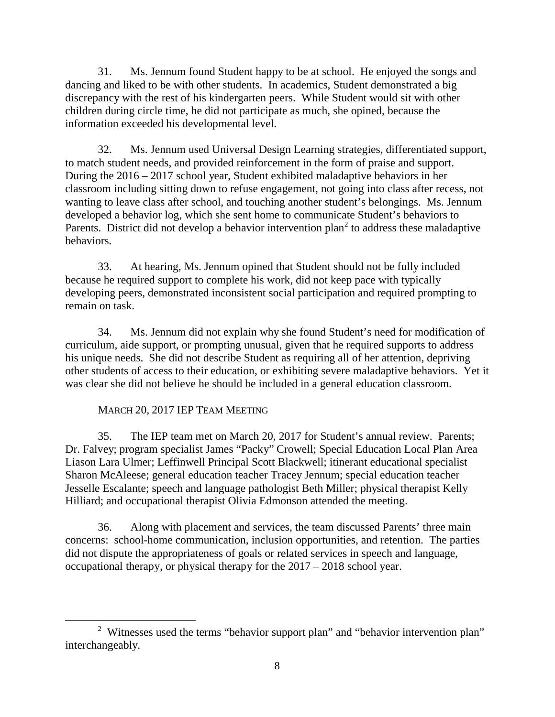31. Ms. Jennum found Student happy to be at school. He enjoyed the songs and dancing and liked to be with other students. In academics, Student demonstrated a big discrepancy with the rest of his kindergarten peers. While Student would sit with other children during circle time, he did not participate as much, she opined, because the information exceeded his developmental level.

32. Ms. Jennum used Universal Design Learning strategies, differentiated support, to match student needs, and provided reinforcement in the form of praise and support. During the 2016 – 2017 school year, Student exhibited maladaptive behaviors in her classroom including sitting down to refuse engagement, not going into class after recess, not wanting to leave class after school, and touching another student's belongings. Ms. Jennum developed a behavior log, which she sent home to communicate Student's behaviors to Parents. District did not develop a behavior intervention plan<sup>2</sup> to address these maladaptive behaviors.

33. At hearing, Ms. Jennum opined that Student should not be fully included because he required support to complete his work, did not keep pace with typically developing peers, demonstrated inconsistent social participation and required prompting to remain on task.

34. Ms. Jennum did not explain why she found Student's need for modification of curriculum, aide support, or prompting unusual, given that he required supports to address his unique needs. She did not describe Student as requiring all of her attention, depriving other students of access to their education, or exhibiting severe maladaptive behaviors. Yet it was clear she did not believe he should be included in a general education classroom.

# MARCH 20, 2017 IEP TEAM MEETING

35. The IEP team met on March 20, 2017 for Student's annual review. Parents; Dr. Falvey; program specialist James "Packy" Crowell; Special Education Local Plan Area Liason Lara Ulmer; Leffinwell Principal Scott Blackwell; itinerant educational specialist Sharon McAleese; general education teacher Tracey Jennum; special education teacher Jesselle Escalante; speech and language pathologist Beth Miller; physical therapist Kelly Hilliard; and occupational therapist Olivia Edmonson attended the meeting.

36. Along with placement and services, the team discussed Parents' three main concerns: school-home communication, inclusion opportunities, and retention. The parties did not dispute the appropriateness of goals or related services in speech and language, occupational therapy, or physical therapy for the 2017 – 2018 school year.

<sup>&</sup>lt;sup>2</sup> Witnesses used the terms "behavior support plan" and "behavior intervention plan" interchangeably.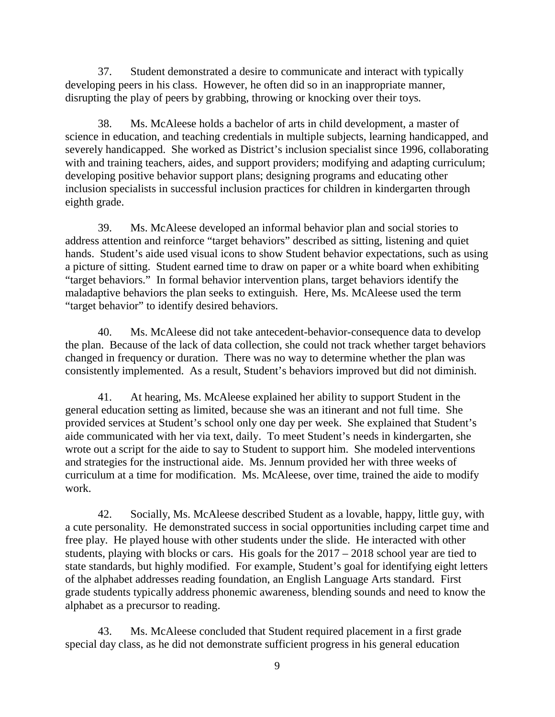37. Student demonstrated a desire to communicate and interact with typically developing peers in his class. However, he often did so in an inappropriate manner, disrupting the play of peers by grabbing, throwing or knocking over their toys.

38. Ms. McAleese holds a bachelor of arts in child development, a master of science in education, and teaching credentials in multiple subjects, learning handicapped, and severely handicapped. She worked as District's inclusion specialist since 1996, collaborating with and training teachers, aides, and support providers; modifying and adapting curriculum; developing positive behavior support plans; designing programs and educating other inclusion specialists in successful inclusion practices for children in kindergarten through eighth grade.

39. Ms. McAleese developed an informal behavior plan and social stories to address attention and reinforce "target behaviors" described as sitting, listening and quiet hands. Student's aide used visual icons to show Student behavior expectations, such as using a picture of sitting. Student earned time to draw on paper or a white board when exhibiting "target behaviors." In formal behavior intervention plans, target behaviors identify the maladaptive behaviors the plan seeks to extinguish. Here, Ms. McAleese used the term "target behavior" to identify desired behaviors.

40. Ms. McAleese did not take antecedent-behavior-consequence data to develop the plan. Because of the lack of data collection, she could not track whether target behaviors changed in frequency or duration. There was no way to determine whether the plan was consistently implemented. As a result, Student's behaviors improved but did not diminish.

41. At hearing, Ms. McAleese explained her ability to support Student in the general education setting as limited, because she was an itinerant and not full time. She provided services at Student's school only one day per week. She explained that Student's aide communicated with her via text, daily. To meet Student's needs in kindergarten, she wrote out a script for the aide to say to Student to support him. She modeled interventions and strategies for the instructional aide. Ms. Jennum provided her with three weeks of curriculum at a time for modification. Ms. McAleese, over time, trained the aide to modify work.

42. Socially, Ms. McAleese described Student as a lovable, happy, little guy, with a cute personality. He demonstrated success in social opportunities including carpet time and free play. He played house with other students under the slide. He interacted with other students, playing with blocks or cars. His goals for the 2017 – 2018 school year are tied to state standards, but highly modified. For example, Student's goal for identifying eight letters of the alphabet addresses reading foundation, an English Language Arts standard. First grade students typically address phonemic awareness, blending sounds and need to know the alphabet as a precursor to reading.

43. Ms. McAleese concluded that Student required placement in a first grade special day class, as he did not demonstrate sufficient progress in his general education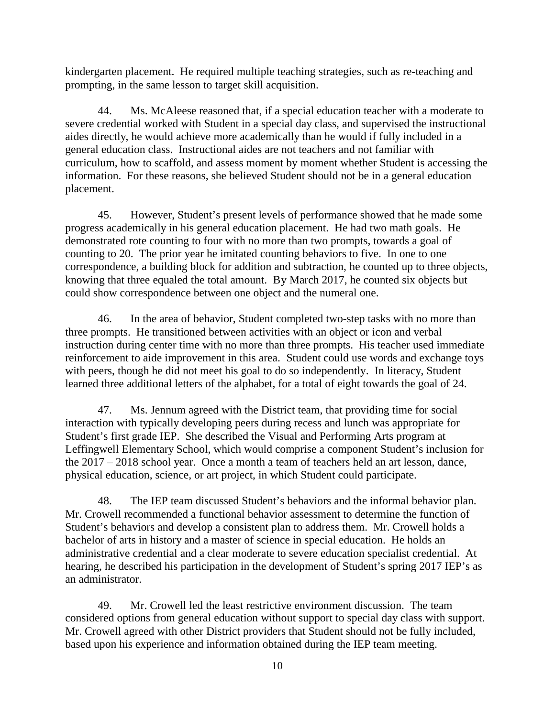kindergarten placement. He required multiple teaching strategies, such as re-teaching and prompting, in the same lesson to target skill acquisition.

44. Ms. McAleese reasoned that, if a special education teacher with a moderate to severe credential worked with Student in a special day class, and supervised the instructional aides directly, he would achieve more academically than he would if fully included in a general education class. Instructional aides are not teachers and not familiar with curriculum, how to scaffold, and assess moment by moment whether Student is accessing the information. For these reasons, she believed Student should not be in a general education placement.

45. However, Student's present levels of performance showed that he made some progress academically in his general education placement. He had two math goals. He demonstrated rote counting to four with no more than two prompts, towards a goal of counting to 20. The prior year he imitated counting behaviors to five. In one to one correspondence, a building block for addition and subtraction, he counted up to three objects, knowing that three equaled the total amount. By March 2017, he counted six objects but could show correspondence between one object and the numeral one.

46. In the area of behavior, Student completed two-step tasks with no more than three prompts. He transitioned between activities with an object or icon and verbal instruction during center time with no more than three prompts. His teacher used immediate reinforcement to aide improvement in this area. Student could use words and exchange toys with peers, though he did not meet his goal to do so independently. In literacy, Student learned three additional letters of the alphabet, for a total of eight towards the goal of 24.

47. Ms. Jennum agreed with the District team, that providing time for social interaction with typically developing peers during recess and lunch was appropriate for Student's first grade IEP. She described the Visual and Performing Arts program at Leffingwell Elementary School, which would comprise a component Student's inclusion for the 2017 – 2018 school year. Once a month a team of teachers held an art lesson, dance, physical education, science, or art project, in which Student could participate.

48. The IEP team discussed Student's behaviors and the informal behavior plan. Mr. Crowell recommended a functional behavior assessment to determine the function of Student's behaviors and develop a consistent plan to address them. Mr. Crowell holds a bachelor of arts in history and a master of science in special education. He holds an administrative credential and a clear moderate to severe education specialist credential. At hearing, he described his participation in the development of Student's spring 2017 IEP's as an administrator.

49. Mr. Crowell led the least restrictive environment discussion. The team considered options from general education without support to special day class with support. Mr. Crowell agreed with other District providers that Student should not be fully included, based upon his experience and information obtained during the IEP team meeting.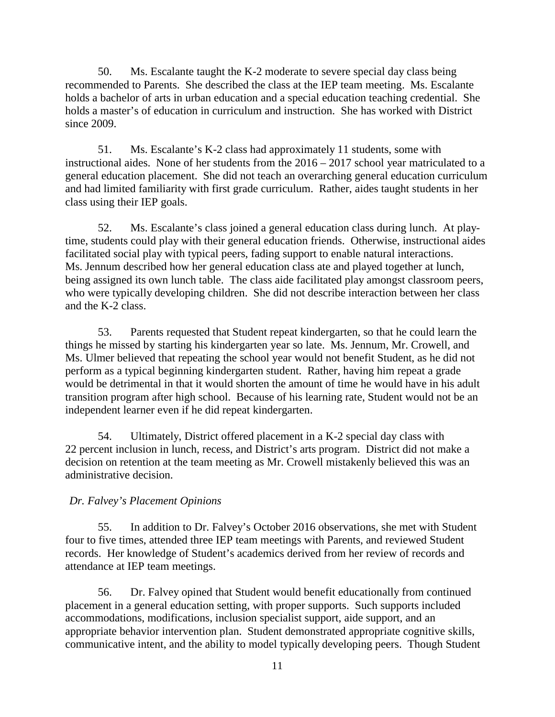50. Ms. Escalante taught the K-2 moderate to severe special day class being recommended to Parents. She described the class at the IEP team meeting. Ms. Escalante holds a bachelor of arts in urban education and a special education teaching credential. She holds a master's of education in curriculum and instruction. She has worked with District since 2009.

51. Ms. Escalante's K-2 class had approximately 11 students, some with instructional aides. None of her students from the 2016 – 2017 school year matriculated to a general education placement. She did not teach an overarching general education curriculum and had limited familiarity with first grade curriculum. Rather, aides taught students in her class using their IEP goals.

52. Ms. Escalante's class joined a general education class during lunch. At playtime, students could play with their general education friends. Otherwise, instructional aides facilitated social play with typical peers, fading support to enable natural interactions. Ms. Jennum described how her general education class ate and played together at lunch, being assigned its own lunch table. The class aide facilitated play amongst classroom peers, who were typically developing children. She did not describe interaction between her class and the K-2 class.

53. Parents requested that Student repeat kindergarten, so that he could learn the things he missed by starting his kindergarten year so late. Ms. Jennum, Mr. Crowell, and Ms. Ulmer believed that repeating the school year would not benefit Student, as he did not perform as a typical beginning kindergarten student. Rather, having him repeat a grade would be detrimental in that it would shorten the amount of time he would have in his adult transition program after high school. Because of his learning rate, Student would not be an independent learner even if he did repeat kindergarten.

54. Ultimately, District offered placement in a K-2 special day class with 22 percent inclusion in lunch, recess, and District's arts program. District did not make a decision on retention at the team meeting as Mr. Crowell mistakenly believed this was an administrative decision.

## *Dr. Falvey's Placement Opinions*

55. In addition to Dr. Falvey's October 2016 observations, she met with Student four to five times, attended three IEP team meetings with Parents, and reviewed Student records. Her knowledge of Student's academics derived from her review of records and attendance at IEP team meetings.

56. Dr. Falvey opined that Student would benefit educationally from continued placement in a general education setting, with proper supports. Such supports included accommodations, modifications, inclusion specialist support, aide support, and an appropriate behavior intervention plan. Student demonstrated appropriate cognitive skills, communicative intent, and the ability to model typically developing peers. Though Student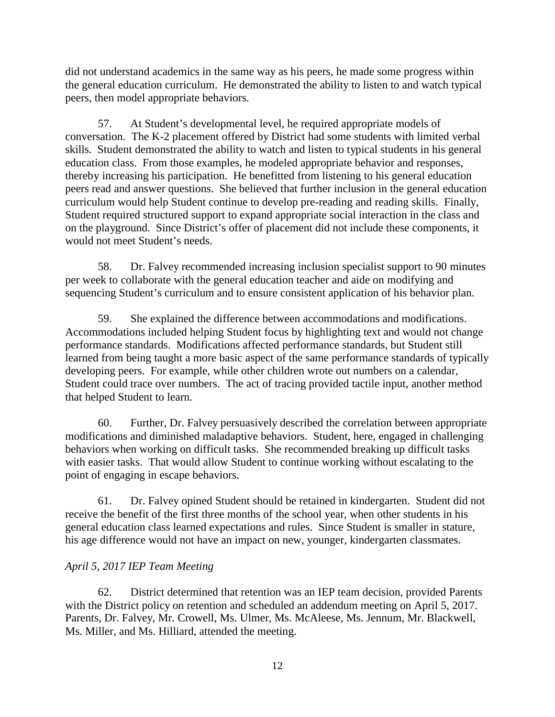did not understand academics in the same way as his peers, he made some progress within the general education curriculum. He demonstrated the ability to listen to and watch typical peers, then model appropriate behaviors.

57. At Student's developmental level, he required appropriate models of conversation. The K-2 placement offered by District had some students with limited verbal skills. Student demonstrated the ability to watch and listen to typical students in his general education class. From those examples, he modeled appropriate behavior and responses, thereby increasing his participation. He benefitted from listening to his general education peers read and answer questions. She believed that further inclusion in the general education curriculum would help Student continue to develop pre-reading and reading skills. Finally, Student required structured support to expand appropriate social interaction in the class and on the playground. Since District's offer of placement did not include these components, it would not meet Student's needs.

58. Dr. Falvey recommended increasing inclusion specialist support to 90 minutes per week to collaborate with the general education teacher and aide on modifying and sequencing Student's curriculum and to ensure consistent application of his behavior plan.

59. She explained the difference between accommodations and modifications. Accommodations included helping Student focus by highlighting text and would not change performance standards. Modifications affected performance standards, but Student still learned from being taught a more basic aspect of the same performance standards of typically developing peers. For example, while other children wrote out numbers on a calendar, Student could trace over numbers. The act of tracing provided tactile input, another method that helped Student to learn.

60. Further, Dr. Falvey persuasively described the correlation between appropriate modifications and diminished maladaptive behaviors. Student, here, engaged in challenging behaviors when working on difficult tasks. She recommended breaking up difficult tasks with easier tasks. That would allow Student to continue working without escalating to the point of engaging in escape behaviors.

61. Dr. Falvey opined Student should be retained in kindergarten. Student did not receive the benefit of the first three months of the school year, when other students in his general education class learned expectations and rules. Since Student is smaller in stature, his age difference would not have an impact on new, younger, kindergarten classmates.

# *April 5, 2017 IEP Team Meeting*

62. District determined that retention was an IEP team decision, provided Parents with the District policy on retention and scheduled an addendum meeting on April 5, 2017. Parents, Dr. Falvey, Mr. Crowell, Ms. Ulmer, Ms. McAleese, Ms. Jennum, Mr. Blackwell, Ms. Miller, and Ms. Hilliard, attended the meeting.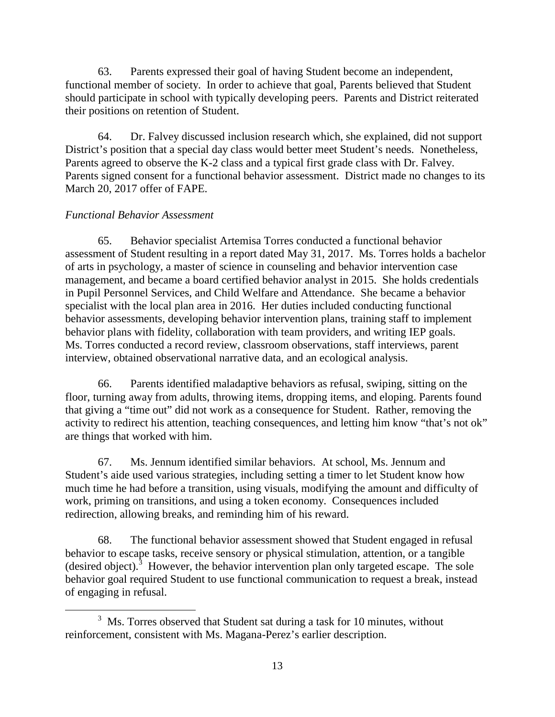63. Parents expressed their goal of having Student become an independent, functional member of society. In order to achieve that goal, Parents believed that Student should participate in school with typically developing peers. Parents and District reiterated their positions on retention of Student.

64. Dr. Falvey discussed inclusion research which, she explained, did not support District's position that a special day class would better meet Student's needs. Nonetheless, Parents agreed to observe the K-2 class and a typical first grade class with Dr. Falvey. Parents signed consent for a functional behavior assessment. District made no changes to its March 20, 2017 offer of FAPE.

## *Functional Behavior Assessment*

65. Behavior specialist Artemisa Torres conducted a functional behavior assessment of Student resulting in a report dated May 31, 2017. Ms. Torres holds a bachelor of arts in psychology, a master of science in counseling and behavior intervention case management, and became a board certified behavior analyst in 2015. She holds credentials in Pupil Personnel Services, and Child Welfare and Attendance. She became a behavior specialist with the local plan area in 2016. Her duties included conducting functional behavior assessments, developing behavior intervention plans, training staff to implement behavior plans with fidelity, collaboration with team providers, and writing IEP goals. Ms. Torres conducted a record review, classroom observations, staff interviews, parent interview, obtained observational narrative data, and an ecological analysis.

66. Parents identified maladaptive behaviors as refusal, swiping, sitting on the floor, turning away from adults, throwing items, dropping items, and eloping. Parents found that giving a "time out" did not work as a consequence for Student. Rather, removing the activity to redirect his attention, teaching consequences, and letting him know "that's not ok" are things that worked with him.

67. Ms. Jennum identified similar behaviors. At school, Ms. Jennum and Student's aide used various strategies, including setting a timer to let Student know how much time he had before a transition, using visuals, modifying the amount and difficulty of work, priming on transitions, and using a token economy. Consequences included redirection, allowing breaks, and reminding him of his reward.

68. The functional behavior assessment showed that Student engaged in refusal behavior to escape tasks, receive sensory or physical stimulation, attention, or a tangible (desired object).<sup>3</sup> However, the behavior intervention plan only targeted escape. The sole behavior goal required Student to use functional communication to request a break, instead of engaging in refusal.

 $3$  Ms. Torres observed that Student sat during a task for 10 minutes, without reinforcement, consistent with Ms. Magana-Perez's earlier description.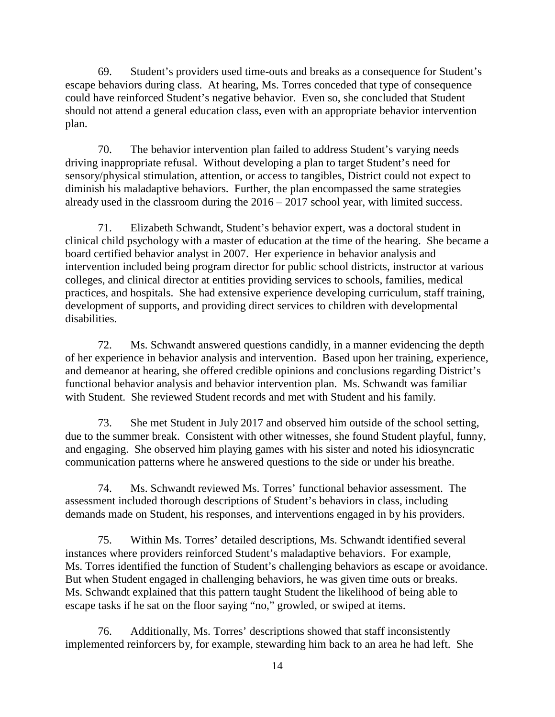69. Student's providers used time-outs and breaks as a consequence for Student's escape behaviors during class. At hearing, Ms. Torres conceded that type of consequence could have reinforced Student's negative behavior. Even so, she concluded that Student should not attend a general education class, even with an appropriate behavior intervention plan.

70. The behavior intervention plan failed to address Student's varying needs driving inappropriate refusal. Without developing a plan to target Student's need for sensory/physical stimulation, attention, or access to tangibles, District could not expect to diminish his maladaptive behaviors. Further, the plan encompassed the same strategies already used in the classroom during the 2016 – 2017 school year, with limited success.

71. Elizabeth Schwandt, Student's behavior expert, was a doctoral student in clinical child psychology with a master of education at the time of the hearing. She became a board certified behavior analyst in 2007. Her experience in behavior analysis and intervention included being program director for public school districts, instructor at various colleges, and clinical director at entities providing services to schools, families, medical practices, and hospitals. She had extensive experience developing curriculum, staff training, development of supports, and providing direct services to children with developmental disabilities.

72. Ms. Schwandt answered questions candidly, in a manner evidencing the depth of her experience in behavior analysis and intervention. Based upon her training, experience, and demeanor at hearing, she offered credible opinions and conclusions regarding District's functional behavior analysis and behavior intervention plan. Ms. Schwandt was familiar with Student. She reviewed Student records and met with Student and his family.

73. She met Student in July 2017 and observed him outside of the school setting, due to the summer break. Consistent with other witnesses, she found Student playful, funny, and engaging. She observed him playing games with his sister and noted his idiosyncratic communication patterns where he answered questions to the side or under his breathe.

74. Ms. Schwandt reviewed Ms. Torres' functional behavior assessment. The assessment included thorough descriptions of Student's behaviors in class, including demands made on Student, his responses, and interventions engaged in by his providers.

75. Within Ms. Torres' detailed descriptions, Ms. Schwandt identified several instances where providers reinforced Student's maladaptive behaviors. For example, Ms. Torres identified the function of Student's challenging behaviors as escape or avoidance. But when Student engaged in challenging behaviors, he was given time outs or breaks. Ms. Schwandt explained that this pattern taught Student the likelihood of being able to escape tasks if he sat on the floor saying "no," growled, or swiped at items.

76. Additionally, Ms. Torres' descriptions showed that staff inconsistently implemented reinforcers by, for example, stewarding him back to an area he had left. She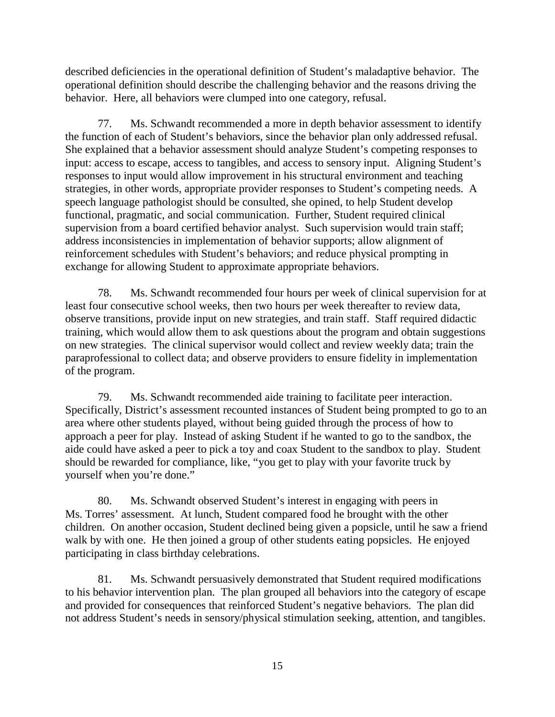described deficiencies in the operational definition of Student's maladaptive behavior. The operational definition should describe the challenging behavior and the reasons driving the behavior. Here, all behaviors were clumped into one category, refusal.

77. Ms. Schwandt recommended a more in depth behavior assessment to identify the function of each of Student's behaviors, since the behavior plan only addressed refusal. She explained that a behavior assessment should analyze Student's competing responses to input: access to escape, access to tangibles, and access to sensory input. Aligning Student's responses to input would allow improvement in his structural environment and teaching strategies, in other words, appropriate provider responses to Student's competing needs. A speech language pathologist should be consulted, she opined, to help Student develop functional, pragmatic, and social communication. Further, Student required clinical supervision from a board certified behavior analyst. Such supervision would train staff; address inconsistencies in implementation of behavior supports; allow alignment of reinforcement schedules with Student's behaviors; and reduce physical prompting in exchange for allowing Student to approximate appropriate behaviors.

78. Ms. Schwandt recommended four hours per week of clinical supervision for at least four consecutive school weeks, then two hours per week thereafter to review data, observe transitions, provide input on new strategies, and train staff. Staff required didactic training, which would allow them to ask questions about the program and obtain suggestions on new strategies. The clinical supervisor would collect and review weekly data; train the paraprofessional to collect data; and observe providers to ensure fidelity in implementation of the program.

79. Ms. Schwandt recommended aide training to facilitate peer interaction. Specifically, District's assessment recounted instances of Student being prompted to go to an area where other students played, without being guided through the process of how to approach a peer for play. Instead of asking Student if he wanted to go to the sandbox, the aide could have asked a peer to pick a toy and coax Student to the sandbox to play. Student should be rewarded for compliance, like, "you get to play with your favorite truck by yourself when you're done."

80. Ms. Schwandt observed Student's interest in engaging with peers in Ms. Torres' assessment. At lunch, Student compared food he brought with the other children. On another occasion, Student declined being given a popsicle, until he saw a friend walk by with one. He then joined a group of other students eating popsicles. He enjoyed participating in class birthday celebrations.

81. Ms. Schwandt persuasively demonstrated that Student required modifications to his behavior intervention plan. The plan grouped all behaviors into the category of escape and provided for consequences that reinforced Student's negative behaviors. The plan did not address Student's needs in sensory/physical stimulation seeking, attention, and tangibles.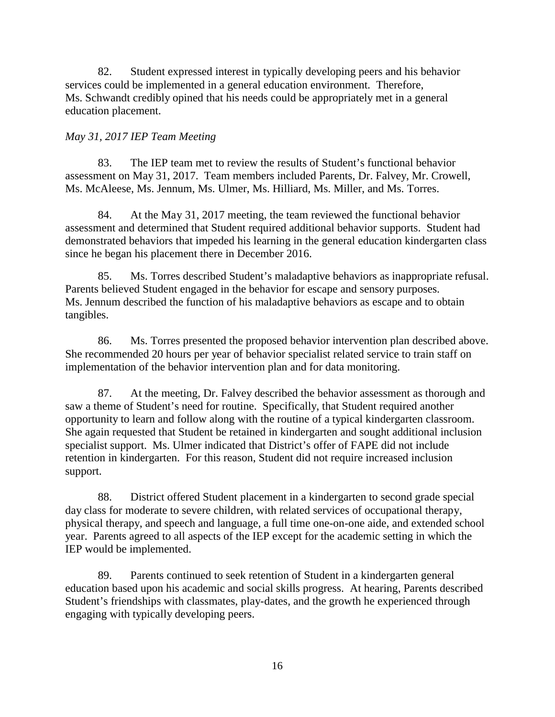82. Student expressed interest in typically developing peers and his behavior services could be implemented in a general education environment. Therefore, Ms. Schwandt credibly opined that his needs could be appropriately met in a general education placement.

## *May 31, 2017 IEP Team Meeting*

83. The IEP team met to review the results of Student's functional behavior assessment on May 31, 2017. Team members included Parents, Dr. Falvey, Mr. Crowell, Ms. McAleese, Ms. Jennum, Ms. Ulmer, Ms. Hilliard, Ms. Miller, and Ms. Torres.

84. At the May 31, 2017 meeting, the team reviewed the functional behavior assessment and determined that Student required additional behavior supports. Student had demonstrated behaviors that impeded his learning in the general education kindergarten class since he began his placement there in December 2016.

85. Ms. Torres described Student's maladaptive behaviors as inappropriate refusal. Parents believed Student engaged in the behavior for escape and sensory purposes. Ms. Jennum described the function of his maladaptive behaviors as escape and to obtain tangibles.

86. Ms. Torres presented the proposed behavior intervention plan described above. She recommended 20 hours per year of behavior specialist related service to train staff on implementation of the behavior intervention plan and for data monitoring.

87. At the meeting, Dr. Falvey described the behavior assessment as thorough and saw a theme of Student's need for routine. Specifically, that Student required another opportunity to learn and follow along with the routine of a typical kindergarten classroom. She again requested that Student be retained in kindergarten and sought additional inclusion specialist support. Ms. Ulmer indicated that District's offer of FAPE did not include retention in kindergarten. For this reason, Student did not require increased inclusion support.

88. District offered Student placement in a kindergarten to second grade special day class for moderate to severe children, with related services of occupational therapy, physical therapy, and speech and language, a full time one-on-one aide, and extended school year. Parents agreed to all aspects of the IEP except for the academic setting in which the IEP would be implemented.

89. Parents continued to seek retention of Student in a kindergarten general education based upon his academic and social skills progress. At hearing, Parents described Student's friendships with classmates, play-dates, and the growth he experienced through engaging with typically developing peers.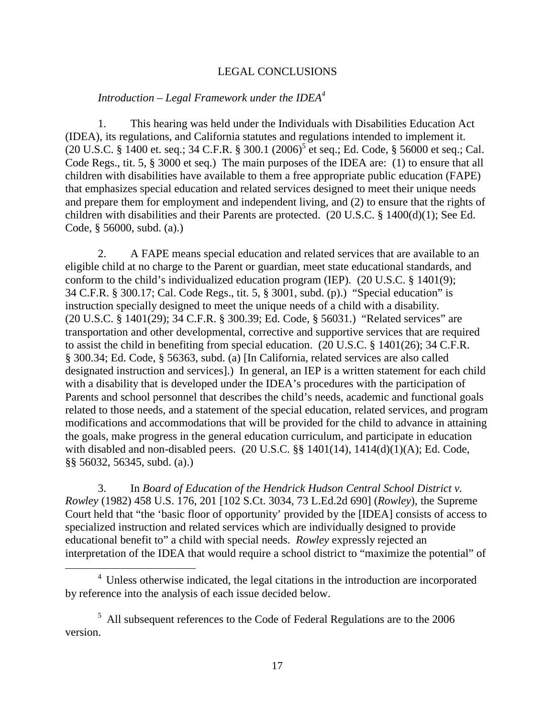### LEGAL CONCLUSIONS

#### *Introduction – Legal Framework under the IDEA<sup>4</sup>*

1. This hearing was held under the Individuals with Disabilities Education Act (IDEA), its regulations, and California statutes and regulations intended to implement it. (20 U.S.C. § 1400 et. seq.; 34 C.F.R. § 300.1 (2006)<sup>5</sup> et seq.; Ed. Code, § 56000 et seq.; Cal. Code Regs., tit. 5, § 3000 et seq.) The main purposes of the IDEA are: (1) to ensure that all children with disabilities have available to them a free appropriate public education (FAPE) that emphasizes special education and related services designed to meet their unique needs and prepare them for employment and independent living, and (2) to ensure that the rights of children with disabilities and their Parents are protected. (20 U.S.C. § 1400(d)(1); See Ed. Code, § 56000, subd. (a).)

2. A FAPE means special education and related services that are available to an eligible child at no charge to the Parent or guardian, meet state educational standards, and conform to the child's individualized education program (IEP). (20 U.S.C. § 1401(9); 34 C.F.R. § 300.17; Cal. Code Regs., tit. 5, § 3001, subd. (p).) "Special education" is instruction specially designed to meet the unique needs of a child with a disability. (20 U.S.C. § 1401(29); 34 C.F.R. § 300.39; Ed. Code, § 56031.) "Related services" are transportation and other developmental, corrective and supportive services that are required to assist the child in benefiting from special education. (20 U.S.C. § 1401(26); 34 C.F.R. § 300.34; Ed. Code, § 56363, subd. (a) [In California, related services are also called designated instruction and services].) In general, an IEP is a written statement for each child with a disability that is developed under the IDEA's procedures with the participation of Parents and school personnel that describes the child's needs, academic and functional goals related to those needs, and a statement of the special education, related services, and program modifications and accommodations that will be provided for the child to advance in attaining the goals, make progress in the general education curriculum, and participate in education with disabled and non-disabled peers. (20 U.S.C. §§ 1401(14), 1414(d)(1)(A); Ed. Code, §§ 56032, 56345, subd. (a).)

3. In *Board of Education of the Hendrick Hudson Central School District v. Rowley* (1982) 458 U.S. 176, 201 [102 S.Ct. 3034, 73 L.Ed.2d 690] (*Rowley*)*,* the Supreme Court held that "the 'basic floor of opportunity' provided by the [IDEA] consists of access to specialized instruction and related services which are individually designed to provide educational benefit to" a child with special needs. *Rowley* expressly rejected an interpretation of the IDEA that would require a school district to "maximize the potential" of

<sup>&</sup>lt;sup>4</sup> Unless otherwise indicated, the legal citations in the introduction are incorporated by reference into the analysis of each issue decided below.

 $5$  All subsequent references to the Code of Federal Regulations are to the 2006 version.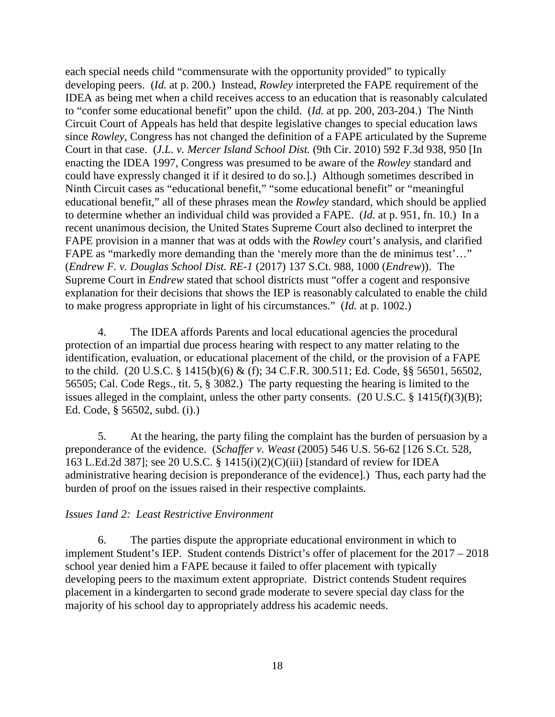each special needs child "commensurate with the opportunity provided" to typically developing peers. (*Id.* at p. 200.) Instead, *Rowley* interpreted the FAPE requirement of the IDEA as being met when a child receives access to an education that is reasonably calculated to "confer some educational benefit" upon the child. (*Id.* at pp. 200, 203-204.) The Ninth Circuit Court of Appeals has held that despite legislative changes to special education laws since *Rowley*, Congress has not changed the definition of a FAPE articulated by the Supreme Court in that case. (*J.L. v. Mercer Island School Dist.* (9th Cir. 2010) 592 F.3d 938, 950 [In enacting the IDEA 1997, Congress was presumed to be aware of the *Rowley* standard and could have expressly changed it if it desired to do so.].) Although sometimes described in Ninth Circuit cases as "educational benefit," "some educational benefit" or "meaningful educational benefit," all of these phrases mean the *Rowley* standard, which should be applied to determine whether an individual child was provided a FAPE. (*Id.* at p. 951, fn. 10.) In a recent unanimous decision, the United States Supreme Court also declined to interpret the FAPE provision in a manner that was at odds with the *Rowley* court's analysis, and clarified FAPE as "markedly more demanding than the 'merely more than the de minimus test'…" (*Endrew F. v. Douglas School Dist. RE-1* (2017) 137 S.Ct. 988, 1000 (*Endrew*)). The Supreme Court in *Endrew* stated that school districts must "offer a cogent and responsive explanation for their decisions that shows the IEP is reasonably calculated to enable the child to make progress appropriate in light of his circumstances." (*Id.* at p. 1002.)

4. The IDEA affords Parents and local educational agencies the procedural protection of an impartial due process hearing with respect to any matter relating to the identification, evaluation, or educational placement of the child, or the provision of a FAPE to the child. (20 U.S.C. § 1415(b)(6) & (f); 34 C.F.R. 300.511; Ed. Code, §§ 56501, 56502, 56505; Cal. Code Regs., tit. 5, § 3082.) The party requesting the hearing is limited to the issues alleged in the complaint, unless the other party consents. (20 U.S.C. § 1415(f)(3)(B); Ed. Code, § 56502, subd. (i).)

5. At the hearing, the party filing the complaint has the burden of persuasion by a preponderance of the evidence. (*Schaffer v. Weast* (2005) 546 U.S. 56-62 [126 S.Ct. 528, 163 L.Ed.2d 387]; see 20 U.S.C. § 1415(i)(2)(C)(iii) [standard of review for IDEA administrative hearing decision is preponderance of the evidence].) Thus, each party had the burden of proof on the issues raised in their respective complaints.

## *Issues 1and 2: Least Restrictive Environment*

6. The parties dispute the appropriate educational environment in which to implement Student's IEP. Student contends District's offer of placement for the 2017 – 2018 school year denied him a FAPE because it failed to offer placement with typically developing peers to the maximum extent appropriate. District contends Student requires placement in a kindergarten to second grade moderate to severe special day class for the majority of his school day to appropriately address his academic needs.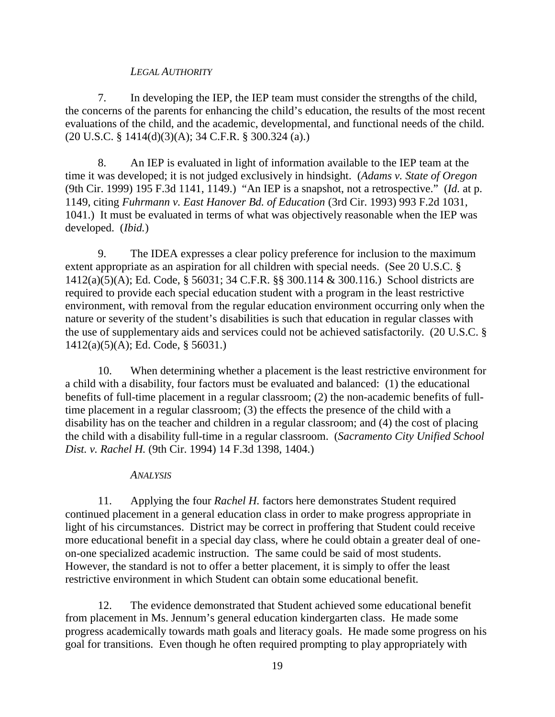### *LEGAL AUTHORITY*

7. In developing the IEP, the IEP team must consider the strengths of the child, the concerns of the parents for enhancing the child's education, the results of the most recent evaluations of the child, and the academic, developmental, and functional needs of the child. (20 U.S.C. § 1414(d)(3)(A); 34 C.F.R. § 300.324 (a).)

8. An IEP is evaluated in light of information available to the IEP team at the time it was developed; it is not judged exclusively in hindsight. (*Adams v. State of Oregon*  (9th Cir. 1999) 195 F.3d 1141, 1149.) "An IEP is a snapshot, not a retrospective." (*Id.* at p. 1149, citing *Fuhrmann v. East Hanover Bd. of Education* (3rd Cir. 1993) 993 F.2d 1031, 1041.) It must be evaluated in terms of what was objectively reasonable when the IEP was developed. (*Ibid.*)

9. The IDEA expresses a clear policy preference for inclusion to the maximum extent appropriate as an aspiration for all children with special needs. (See 20 U.S.C. § 1412(a)(5)(A); Ed. Code, § 56031; 34 C.F.R. §§ 300.114 & 300.116.) School districts are required to provide each special education student with a program in the least restrictive environment, with removal from the regular education environment occurring only when the nature or severity of the student's disabilities is such that education in regular classes with the use of supplementary aids and services could not be achieved satisfactorily. (20 U.S.C. § 1412(a)(5)(A); Ed. Code, § 56031.)

10. When determining whether a placement is the least restrictive environment for a child with a disability, four factors must be evaluated and balanced: (1) the educational benefits of full-time placement in a regular classroom; (2) the non-academic benefits of fulltime placement in a regular classroom; (3) the effects the presence of the child with a disability has on the teacher and children in a regular classroom; and (4) the cost of placing the child with a disability full-time in a regular classroom. (*Sacramento City Unified School Dist. v. Rachel H.* (9th Cir. 1994) 14 F.3d 1398, 1404.)

#### *ANALYSIS*

11. Applying the four *Rachel H.* factors here demonstrates Student required continued placement in a general education class in order to make progress appropriate in light of his circumstances. District may be correct in proffering that Student could receive more educational benefit in a special day class, where he could obtain a greater deal of oneon-one specialized academic instruction. The same could be said of most students. However, the standard is not to offer a better placement, it is simply to offer the least restrictive environment in which Student can obtain some educational benefit.

12. The evidence demonstrated that Student achieved some educational benefit from placement in Ms. Jennum's general education kindergarten class. He made some progress academically towards math goals and literacy goals. He made some progress on his goal for transitions. Even though he often required prompting to play appropriately with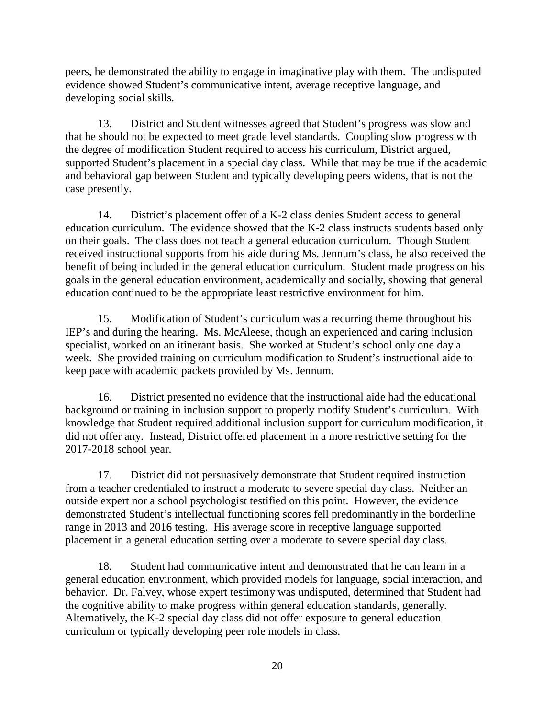peers, he demonstrated the ability to engage in imaginative play with them. The undisputed evidence showed Student's communicative intent, average receptive language, and developing social skills.

13. District and Student witnesses agreed that Student's progress was slow and that he should not be expected to meet grade level standards. Coupling slow progress with the degree of modification Student required to access his curriculum, District argued, supported Student's placement in a special day class. While that may be true if the academic and behavioral gap between Student and typically developing peers widens, that is not the case presently.

14. District's placement offer of a K-2 class denies Student access to general education curriculum. The evidence showed that the K-2 class instructs students based only on their goals. The class does not teach a general education curriculum. Though Student received instructional supports from his aide during Ms. Jennum's class, he also received the benefit of being included in the general education curriculum. Student made progress on his goals in the general education environment, academically and socially, showing that general education continued to be the appropriate least restrictive environment for him.

15. Modification of Student's curriculum was a recurring theme throughout his IEP's and during the hearing. Ms. McAleese, though an experienced and caring inclusion specialist, worked on an itinerant basis. She worked at Student's school only one day a week. She provided training on curriculum modification to Student's instructional aide to keep pace with academic packets provided by Ms. Jennum.

16. District presented no evidence that the instructional aide had the educational background or training in inclusion support to properly modify Student's curriculum. With knowledge that Student required additional inclusion support for curriculum modification, it did not offer any. Instead, District offered placement in a more restrictive setting for the 2017-2018 school year.

17. District did not persuasively demonstrate that Student required instruction from a teacher credentialed to instruct a moderate to severe special day class. Neither an outside expert nor a school psychologist testified on this point. However, the evidence demonstrated Student's intellectual functioning scores fell predominantly in the borderline range in 2013 and 2016 testing. His average score in receptive language supported placement in a general education setting over a moderate to severe special day class.

18. Student had communicative intent and demonstrated that he can learn in a general education environment, which provided models for language, social interaction, and behavior. Dr. Falvey, whose expert testimony was undisputed, determined that Student had the cognitive ability to make progress within general education standards, generally. Alternatively, the K-2 special day class did not offer exposure to general education curriculum or typically developing peer role models in class.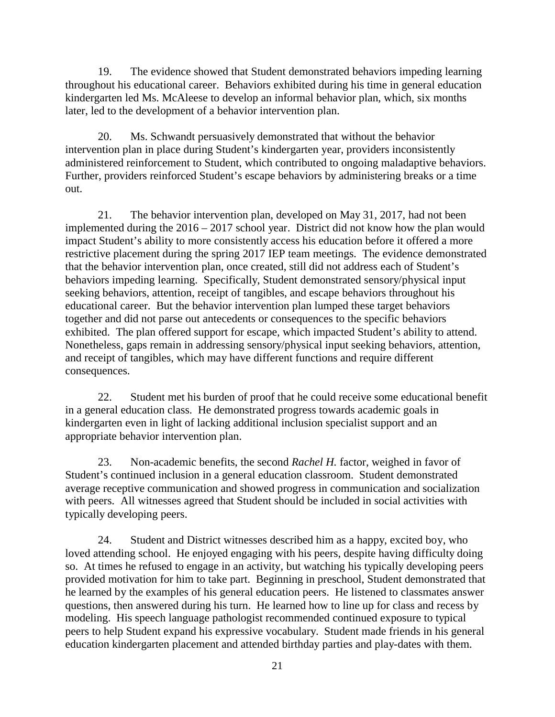19. The evidence showed that Student demonstrated behaviors impeding learning throughout his educational career. Behaviors exhibited during his time in general education kindergarten led Ms. McAleese to develop an informal behavior plan, which, six months later, led to the development of a behavior intervention plan.

20. Ms. Schwandt persuasively demonstrated that without the behavior intervention plan in place during Student's kindergarten year, providers inconsistently administered reinforcement to Student, which contributed to ongoing maladaptive behaviors. Further, providers reinforced Student's escape behaviors by administering breaks or a time out.

21. The behavior intervention plan, developed on May 31, 2017, had not been implemented during the 2016 – 2017 school year. District did not know how the plan would impact Student's ability to more consistently access his education before it offered a more restrictive placement during the spring 2017 IEP team meetings. The evidence demonstrated that the behavior intervention plan, once created, still did not address each of Student's behaviors impeding learning. Specifically, Student demonstrated sensory/physical input seeking behaviors, attention, receipt of tangibles, and escape behaviors throughout his educational career. But the behavior intervention plan lumped these target behaviors together and did not parse out antecedents or consequences to the specific behaviors exhibited. The plan offered support for escape, which impacted Student's ability to attend. Nonetheless, gaps remain in addressing sensory/physical input seeking behaviors, attention, and receipt of tangibles, which may have different functions and require different consequences.

22. Student met his burden of proof that he could receive some educational benefit in a general education class. He demonstrated progress towards academic goals in kindergarten even in light of lacking additional inclusion specialist support and an appropriate behavior intervention plan.

23. Non-academic benefits, the second *Rachel H.* factor, weighed in favor of Student's continued inclusion in a general education classroom. Student demonstrated average receptive communication and showed progress in communication and socialization with peers. All witnesses agreed that Student should be included in social activities with typically developing peers.

24. Student and District witnesses described him as a happy, excited boy, who loved attending school. He enjoyed engaging with his peers, despite having difficulty doing so. At times he refused to engage in an activity, but watching his typically developing peers provided motivation for him to take part. Beginning in preschool, Student demonstrated that he learned by the examples of his general education peers. He listened to classmates answer questions, then answered during his turn. He learned how to line up for class and recess by modeling. His speech language pathologist recommended continued exposure to typical peers to help Student expand his expressive vocabulary. Student made friends in his general education kindergarten placement and attended birthday parties and play-dates with them.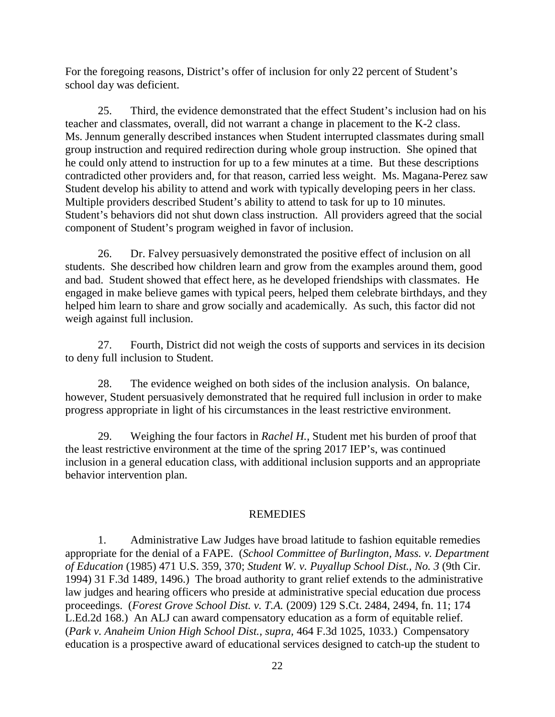For the foregoing reasons, District's offer of inclusion for only 22 percent of Student's school day was deficient.

25. Third, the evidence demonstrated that the effect Student's inclusion had on his teacher and classmates, overall, did not warrant a change in placement to the K-2 class. Ms. Jennum generally described instances when Student interrupted classmates during small group instruction and required redirection during whole group instruction. She opined that he could only attend to instruction for up to a few minutes at a time. But these descriptions contradicted other providers and, for that reason, carried less weight. Ms. Magana-Perez saw Student develop his ability to attend and work with typically developing peers in her class. Multiple providers described Student's ability to attend to task for up to 10 minutes. Student's behaviors did not shut down class instruction. All providers agreed that the social component of Student's program weighed in favor of inclusion.

26. Dr. Falvey persuasively demonstrated the positive effect of inclusion on all students. She described how children learn and grow from the examples around them, good and bad. Student showed that effect here, as he developed friendships with classmates. He engaged in make believe games with typical peers, helped them celebrate birthdays, and they helped him learn to share and grow socially and academically. As such, this factor did not weigh against full inclusion.

27. Fourth, District did not weigh the costs of supports and services in its decision to deny full inclusion to Student.

28. The evidence weighed on both sides of the inclusion analysis. On balance, however, Student persuasively demonstrated that he required full inclusion in order to make progress appropriate in light of his circumstances in the least restrictive environment.

29. Weighing the four factors in *Rachel H.*, Student met his burden of proof that the least restrictive environment at the time of the spring 2017 IEP's, was continued inclusion in a general education class, with additional inclusion supports and an appropriate behavior intervention plan.

#### REMEDIES

1. Administrative Law Judges have broad latitude to fashion equitable remedies appropriate for the denial of a FAPE. (*School Committee of Burlington, Mass. v. Department of Education* (1985) 471 U.S. 359, 370; *Student W. v. Puyallup School Dist., No. 3* (9th Cir. 1994) 31 F.3d 1489, 1496.) The broad authority to grant relief extends to the administrative law judges and hearing officers who preside at administrative special education due process proceedings. (*Forest Grove School Dist. v. T.A.* (2009) 129 S.Ct. 2484, 2494, fn. 11; 174 L.Ed.2d 168.) An ALJ can award compensatory education as a form of equitable relief. (*Park v. Anaheim Union High School Dist., supra,* 464 F.3d 1025, 1033.) Compensatory education is a prospective award of educational services designed to catch-up the student to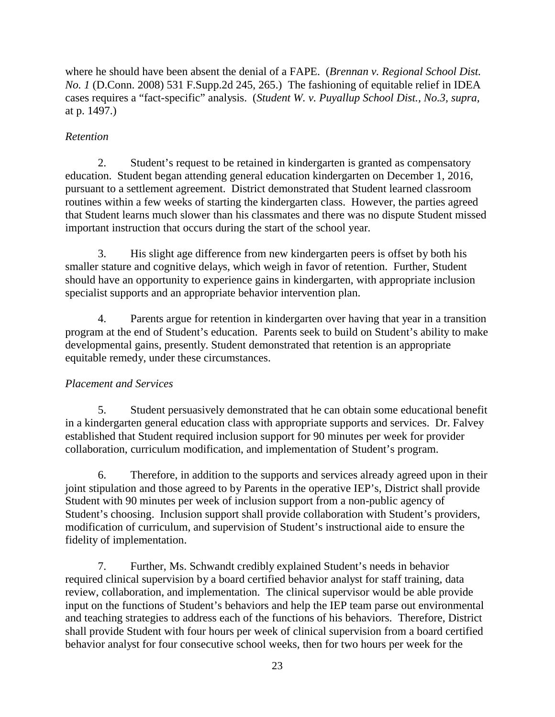where he should have been absent the denial of a FAPE. (*Brennan v. Regional School Dist. No. 1* (D.Conn. 2008) 531 F.Supp.2d 245, 265.) The fashioning of equitable relief in IDEA cases requires a "fact-specific" analysis. (*Student W. v. Puyallup School Dist., No.3, supra,*  at p. 1497.)

# *Retention*

2. Student's request to be retained in kindergarten is granted as compensatory education. Student began attending general education kindergarten on December 1, 2016, pursuant to a settlement agreement. District demonstrated that Student learned classroom routines within a few weeks of starting the kindergarten class. However, the parties agreed that Student learns much slower than his classmates and there was no dispute Student missed important instruction that occurs during the start of the school year.

3. His slight age difference from new kindergarten peers is offset by both his smaller stature and cognitive delays, which weigh in favor of retention. Further, Student should have an opportunity to experience gains in kindergarten, with appropriate inclusion specialist supports and an appropriate behavior intervention plan.

4. Parents argue for retention in kindergarten over having that year in a transition program at the end of Student's education. Parents seek to build on Student's ability to make developmental gains, presently. Student demonstrated that retention is an appropriate equitable remedy, under these circumstances.

# *Placement and Services*

5. Student persuasively demonstrated that he can obtain some educational benefit in a kindergarten general education class with appropriate supports and services. Dr. Falvey established that Student required inclusion support for 90 minutes per week for provider collaboration, curriculum modification, and implementation of Student's program.

6. Therefore, in addition to the supports and services already agreed upon in their joint stipulation and those agreed to by Parents in the operative IEP's, District shall provide Student with 90 minutes per week of inclusion support from a non-public agency of Student's choosing. Inclusion support shall provide collaboration with Student's providers, modification of curriculum, and supervision of Student's instructional aide to ensure the fidelity of implementation.

7. Further, Ms. Schwandt credibly explained Student's needs in behavior required clinical supervision by a board certified behavior analyst for staff training, data review, collaboration, and implementation. The clinical supervisor would be able provide input on the functions of Student's behaviors and help the IEP team parse out environmental and teaching strategies to address each of the functions of his behaviors. Therefore, District shall provide Student with four hours per week of clinical supervision from a board certified behavior analyst for four consecutive school weeks, then for two hours per week for the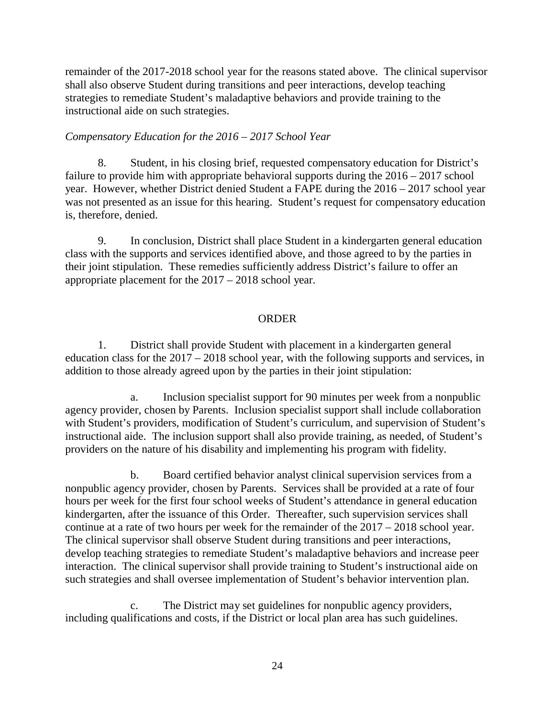remainder of the 2017-2018 school year for the reasons stated above. The clinical supervisor shall also observe Student during transitions and peer interactions, develop teaching strategies to remediate Student's maladaptive behaviors and provide training to the instructional aide on such strategies.

## *Compensatory Education for the 2016 – 2017 School Year*

8. Student, in his closing brief, requested compensatory education for District's failure to provide him with appropriate behavioral supports during the  $2016 - 2017$  school year. However, whether District denied Student a FAPE during the 2016 – 2017 school year was not presented as an issue for this hearing. Student's request for compensatory education is, therefore, denied.

9. In conclusion, District shall place Student in a kindergarten general education class with the supports and services identified above, and those agreed to by the parties in their joint stipulation. These remedies sufficiently address District's failure to offer an appropriate placement for the 2017 – 2018 school year.

## **ORDER**

1. District shall provide Student with placement in a kindergarten general education class for the 2017 – 2018 school year, with the following supports and services, in addition to those already agreed upon by the parties in their joint stipulation:

a. Inclusion specialist support for 90 minutes per week from a nonpublic agency provider, chosen by Parents. Inclusion specialist support shall include collaboration with Student's providers, modification of Student's curriculum, and supervision of Student's instructional aide. The inclusion support shall also provide training, as needed, of Student's providers on the nature of his disability and implementing his program with fidelity.

b. Board certified behavior analyst clinical supervision services from a nonpublic agency provider, chosen by Parents. Services shall be provided at a rate of four hours per week for the first four school weeks of Student's attendance in general education kindergarten, after the issuance of this Order. Thereafter, such supervision services shall continue at a rate of two hours per week for the remainder of the 2017 – 2018 school year. The clinical supervisor shall observe Student during transitions and peer interactions, develop teaching strategies to remediate Student's maladaptive behaviors and increase peer interaction. The clinical supervisor shall provide training to Student's instructional aide on such strategies and shall oversee implementation of Student's behavior intervention plan.

c. The District may set guidelines for nonpublic agency providers, including qualifications and costs, if the District or local plan area has such guidelines.